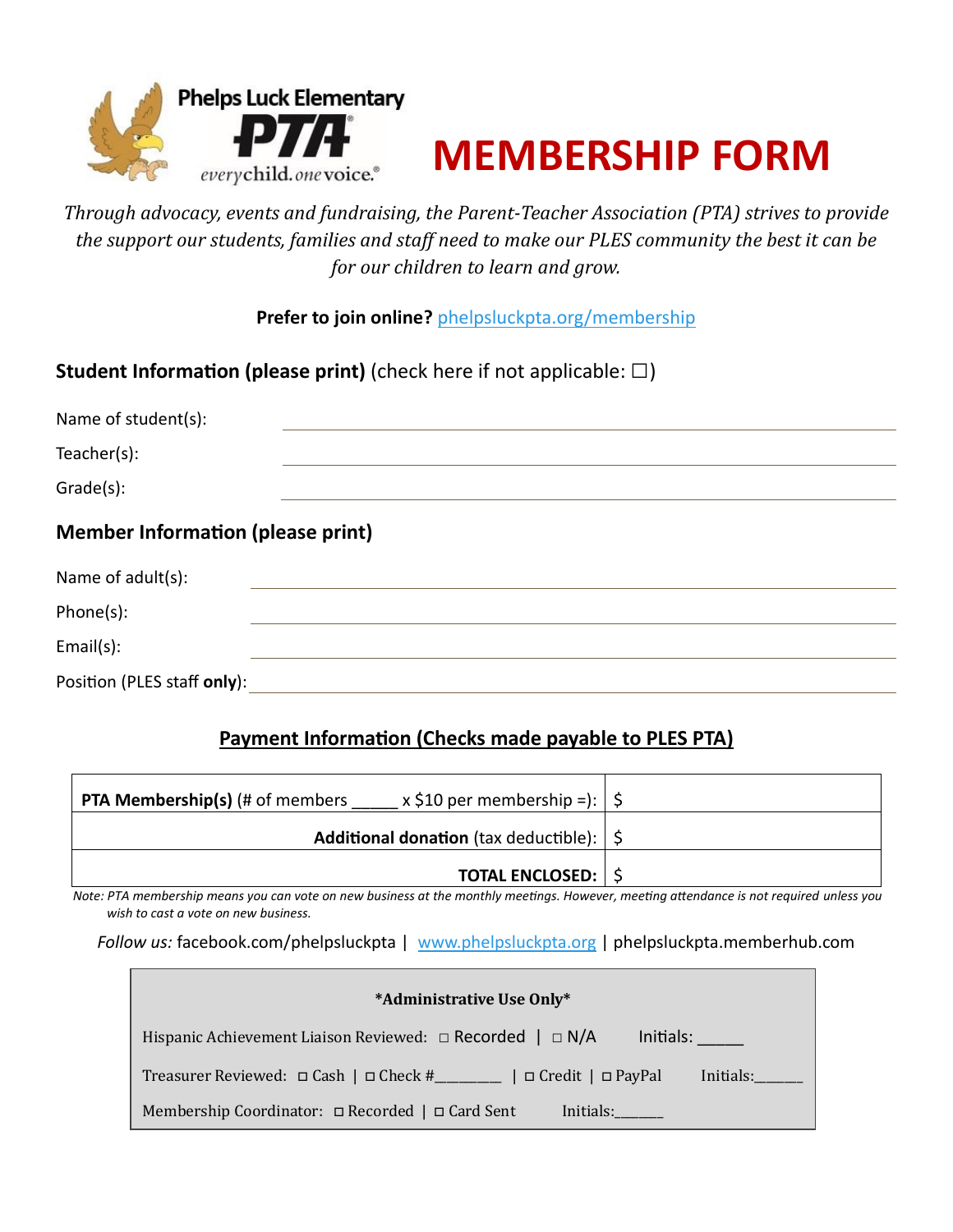



*Through advocacy, events and fundraising, the Parent-Teacher Association (PTA) strives to provide the support our students, families and staff need to make our PLES community the best it can be for our children to learn and grow.*

**Prefer to join online?** [phelpsluckpta.org/membership](https://phelpsluckpta.org/membership)

## **Student Information (please print)** (check here if not applicable: □)

| Name of student(s):                      |  |  |  |  |
|------------------------------------------|--|--|--|--|
| Teacher(s):                              |  |  |  |  |
| Grade(s):                                |  |  |  |  |
| <b>Member Information (please print)</b> |  |  |  |  |
| Name of adult(s):                        |  |  |  |  |
| Phone(s):                                |  |  |  |  |
| Email(s):                                |  |  |  |  |
| Position (PLES staff only):              |  |  |  |  |

## **Payment Information (Checks made payable to PLES PTA)**

| x \$10 per membership =): $ \$$<br><b>PTA Membership(s)</b> (# of members |  |
|---------------------------------------------------------------------------|--|
| <b>Additional donation</b> (tax deductible): $\frac{1}{5}$                |  |
| <b>TOTAL ENCLOSED:   \$</b>                                               |  |

 *Note: PTA membership means you can vote on new business at the monthly meetings. However, meeting attendance is not required unless you wish to cast a vote on new business.*

*Follow us:* facebook.com/phelpsluckpta | [www.phelpsluckpta.org](http://www.phelpsluckpta.org/) | phelpsluckpta.memberhub.com

| *Administrative Use Only*                                                         |  |  |  |  |
|-----------------------------------------------------------------------------------|--|--|--|--|
| Hispanic Achievement Liaison Reviewed: $\Box$ Recorded $\Box$ N/A<br>Initials:    |  |  |  |  |
| Treasurer Reviewed: □ Cash   □ Check #________   □ Credit   □ PayPal<br>Initials: |  |  |  |  |
| Membership Coordinator: □ Recorded   □ Card Sent<br>Initials:                     |  |  |  |  |